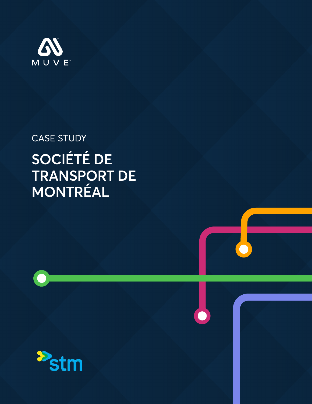

### CASE STUDY

# **SOCIÉTÉ DE TRANSPORT DE MONTRÉAL**

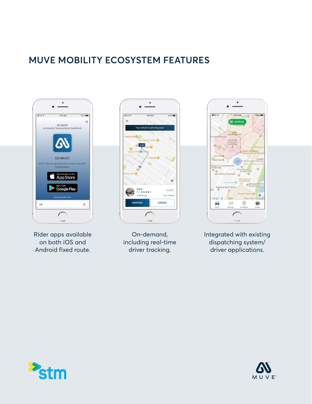### **MUVE MOBILITY ECOSYSTEM FEATURES**



Rider apps available on both iOS and Android fixed route.



On-demand, including real-time driver tracking.



Integrated with existing dispatching system/ driver applications.



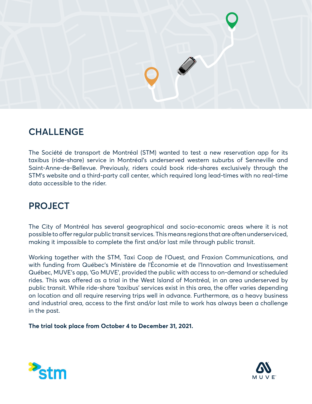

#### **CHALLENGE**

The Société de transport de Montréal (STM) wanted to test a new reservation app for its taxibus (ride-share) service in Montréal's underserved western suburbs of Senneville and Saint-Anne-de-Bellevue. Previously, riders could book ride-shares exclusively through the STM's website and a third-party call center, which required long lead-times with no real-time data accessible to the rider.

#### **PROJECT**

The City of Montréal has several geographical and socio-economic areas where it is not possible to offer regular public transit services. This means regions that are often underserviced, making it impossible to complete the first and/or last mile through public transit.

Working together with the STM, Taxi Coop de l'Ouest, and Fraxion Communications, and with funding from Québec's Ministère de l'Économie et de l'Innovation and Investissement Québec, MUVE's app, 'Go MUVE', provided the public with access to on-demand or scheduled rides. This was offered as a trial in the West Island of Montréal, in an area underserved by public transit. While ride-share 'taxibus' services exist in this area, the offer varies depending on location and all require reserving trips well in advance. Furthermore, as a heavy business and industrial area, access to the first and/or last mile to work has always been a challenge in the past.

**The trial took place from October 4 to December 31, 2021.**



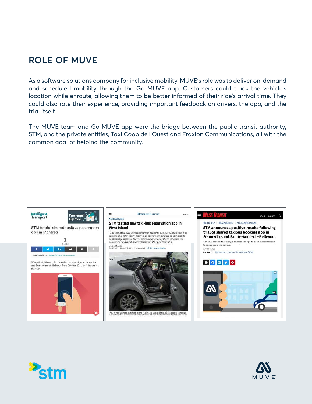#### **ROLE OF MUVE**

As a software solutions company for inclusive mobility, MUVE's role was to deliver on-demand and scheduled mobility through the Go MUVE app. Customers could track the vehicle's location while enroute, allowing them to be better informed of their ride's arrival time. They could also rate their experience, providing important feedback on drivers, the app, and the trial itself.

The MUVE team and Go MUVE app were the bridge between the public transit authority, STM, and the private entities, Taxi Coop de l'Ouest and Fraxion Communications, all with the common goal of helping the community.





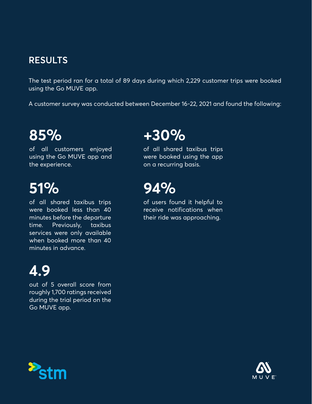#### **RESULTS**

The test period ran for a total of 89 days during which 2,229 customer trips were booked using the Go MUVE app.

A customer survey was conducted between December 16-22, 2021 and found the following:

# **85%**

of all customers enjoyed using the Go MUVE app and the experience.

# **51%**

of all shared taxibus trips were booked less than 40 minutes before the departure time. Previously, taxibus services were only available when booked more than 40 minutes in advance.

# **4.9**

out of 5 overall score from roughly 1,700 ratings received during the trial period on the Go MUVE app.

## **+30%**

of all shared taxibus trips were booked using the app on a recurring basis.

## **94%**

of users found it helpful to receive notifications when their ride was approaching.



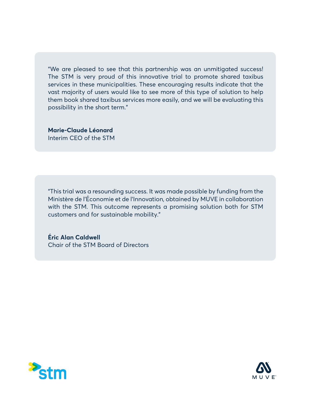"We are pleased to see that this partnership was an unmitigated success! The STM is very proud of this innovative trial to promote shared taxibus services in these municipalities. These encouraging results indicate that the vast majority of users would like to see more of this type of solution to help them book shared taxibus services more easily, and we will be evaluating this possibility in the short term."

**Marie-Claude Léonard**  Interim CEO of the STM

"This trial was a resounding success. It was made possible by funding from the Ministère de l'Économie et de l'Innovation, obtained by MUVE in collaboration with the STM. This outcome represents a promising solution both for STM customers and for sustainable mobility."

**Éric Alan Caldwell** Chair of the STM Board of Directors



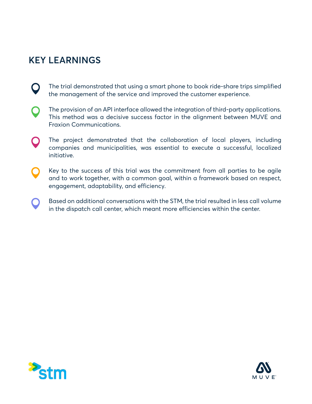### **KEY LEARNINGS**

- $\mathbf O$ The trial demonstrated that using a smart phone to book ride-share trips simplified the management of the service and improved the customer experience.
- The provision of an API interface allowed the integration of third-party applications. This method was a decisive success factor in the alignment between MUVE and Fraxion Communications.
- The project demonstrated that the collaboration of local players, including  $\mathbf O$ companies and municipalities, was essential to execute a successful, localized initiative.
- Key to the success of this trial was the commitment from all parties to be agile and to work together, with a common goal, within a framework based on respect, engagement, adaptability, and efficiency.
- Based on additional conversations with the STM, the trial resulted in less call volume  $\bigcirc$ in the dispatch call center, which meant more efficiencies within the center.